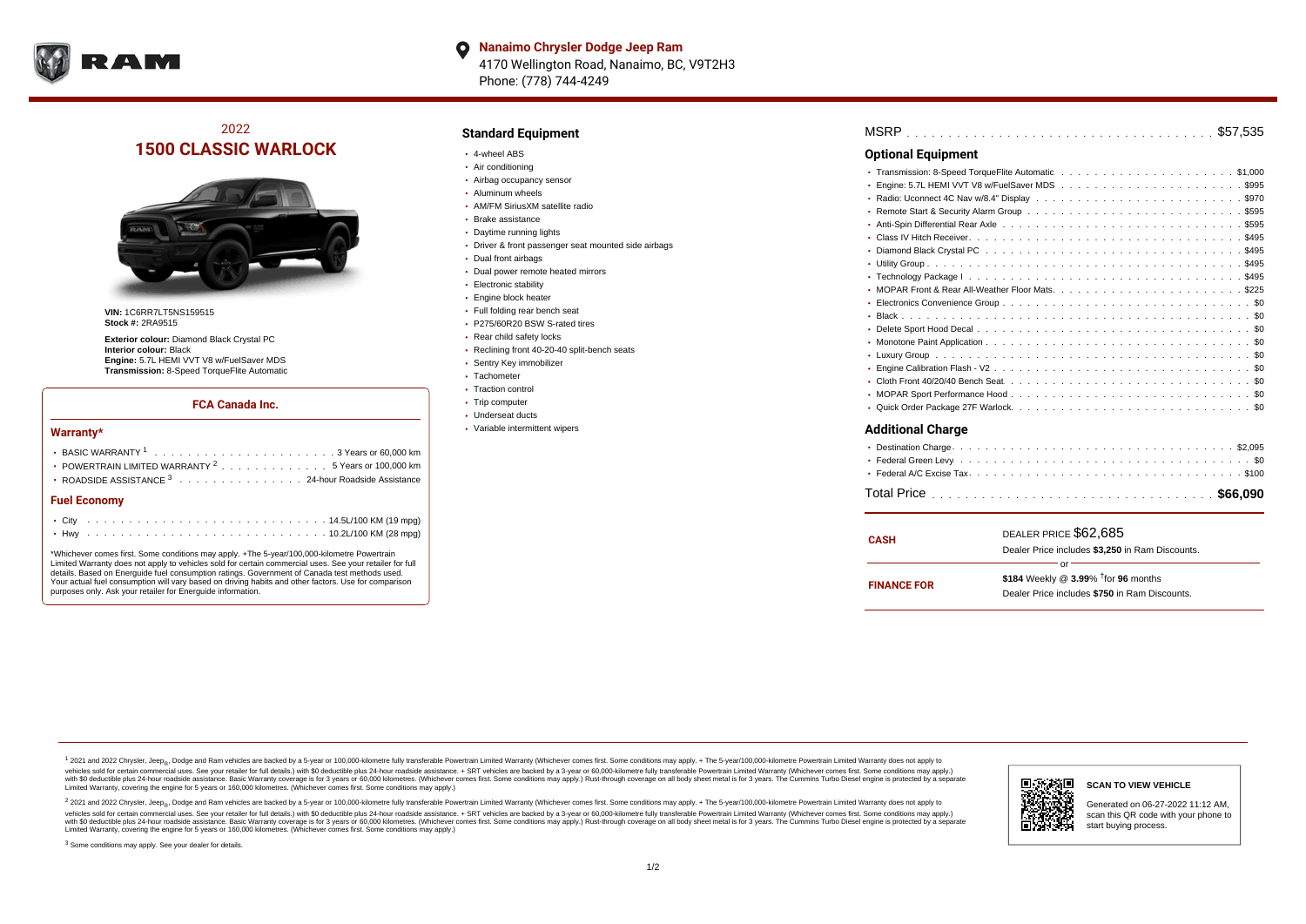

**Nanaimo Chrysler Dodge Jeep Ram**  $\bullet$ 4170 Wellington Road, Nanaimo, BC, V9T2H3 Phone: (778) 744-4249

# 2022 **1500 CLASSIC WARLOCK**



**VIN:** 1C6RR7LT5NS159515 **Stock #:** 2RA9515

**Exterior colour:** Diamond Black Crystal PC **Interior colour:** Black **Engine:** 5.7L HEMI VVT V8 w/FuelSaver MDS **Transmission:** 8-Speed TorqueFlite Automatic

#### **FCA Canada Inc.**

#### **Warranty\***

| POWERTRAIN LIMITED WARRANTY $2, \ldots, \ldots, \ldots, \ldots, 5$ Years or 100,000 km |  |  |  |  |  |
|----------------------------------------------------------------------------------------|--|--|--|--|--|
| • ROADSIDE ASSISTANCE 3 24-hour Roadside Assistance                                    |  |  |  |  |  |
| <b>Fuel Economy</b>                                                                    |  |  |  |  |  |
|                                                                                        |  |  |  |  |  |

\*Whichever comes first. Some conditions may apply. +The 5-year/100,000-kilometre Powertrain Limited Warranty does not apply to vehicles sold for certain commercial uses. See your retailer for full details. Based on Energuide fuel consumption ratings. Government of Canada test methods used. Your actual fuel consumption will vary based on driving habits and other factors. Use for comparison purposes only. Ask your retailer for Energuide information.

. . . . . . . . . . . . . . . . . . . . . . . . . . . . . . . . . . . . . . . . . . . Hwy 10.2L/100 KM (28 mpg)

### **Standard Equipment**

- 4-wheel ABS
- Air conditioning
- Airbag occupancy sensor
- Aluminum wheels
- AM/FM SiriusXM satellite radio
- Brake assistance
- Daytime running lights
- Driver & front passenger seat mounted side airbags
- Dual front airbags
- Dual power remote heated mirrors
- **Electronic stability**
- Engine block heater
- Full folding rear bench seat
- P275/60R20 BSW S-rated tires
- Rear child safety locks
- Reclining front 40-20-40 split-bench seats
- Sentry Key immobilizer Tachometer
- Traction control
- Trip computer
- Underseat ducts
- Variable intermittent wipers

| <b>Optional Equipment</b> |
|---------------------------|
|                           |
|                           |
|                           |
|                           |
|                           |
|                           |
|                           |
|                           |
|                           |
|                           |
|                           |
|                           |
|                           |
|                           |
|                           |
|                           |
|                           |
|                           |
|                           |
| <b>Additional Charge</b>  |

| <b>CASH</b>        | DEALER PRICE \$62.685<br>Dealer Price includes \$3,250 in Ram Discounts. |  |  |  |  |  |  |  |
|--------------------|--------------------------------------------------------------------------|--|--|--|--|--|--|--|
|                    |                                                                          |  |  |  |  |  |  |  |
|                    | Ωr                                                                       |  |  |  |  |  |  |  |
| <b>FINANCE FOR</b> | \$184 Weekly @ $3.99\%$ <sup>†</sup> for 96 months                       |  |  |  |  |  |  |  |
|                    | Dealer Price includes \$750 in Ram Discounts.                            |  |  |  |  |  |  |  |
|                    |                                                                          |  |  |  |  |  |  |  |

<sup>1</sup> 2021 and 2022 Chrysler, Jeep<sub>®</sub>, Dodge and Ram vehicles are backed by a 5-year or 100,000-kilometre fully transferable Powertrain Limited Warranty (Whichever comes first. Some conditions may apply. + The 5-year/100,000 vehicles sold for certain commercial uses. See your retailer for full details.) with \$0 deductible plus 24 hour roadside assistance. + SRT vehicles are backed by a 3-year or 60,000-kilometre fully transferable Powertrain L versus and contract the mean of the contract of the contract with a contract with a contract the contract of the contract of the contract the contract of the contract of the contract of the contract of the contract of the Limited Warranty, covering the engine for 5 years or 160,000 kilometres. (Whichever comes first. Some conditions may apply.)

2 2021 and 2022 Chrysler, Jeep<sub>®</sub>, Dodge and Ram vehicles are backed by a 5-year or 100,000-kilometre fully transferable Powertrain Limited Warranty (Whichever comes first. Some conditions may apply. + The 5-year/100,000-k vehicles sold for certain commercial uses. See your retailer for full details.) with SO deductible plus 24-hour roadside assistance. + SRT vehicles are backed by a 3-year or 60.000-kilometre fully transferable Powertrain. with S0 deductible plus 24-hour roadside assistance. Basic Warranty coverage is for 3 years or 60,000 kilometres. (Whichever comes first. Some conditions may apply.) Rust-through coverage on all body sheet metal is for 3 y

<sup>3</sup> Some conditions may apply. See your dealer for details.



Generated on 06-27-2022 11:12 AM, scan this QR code with your phone to start buying process.